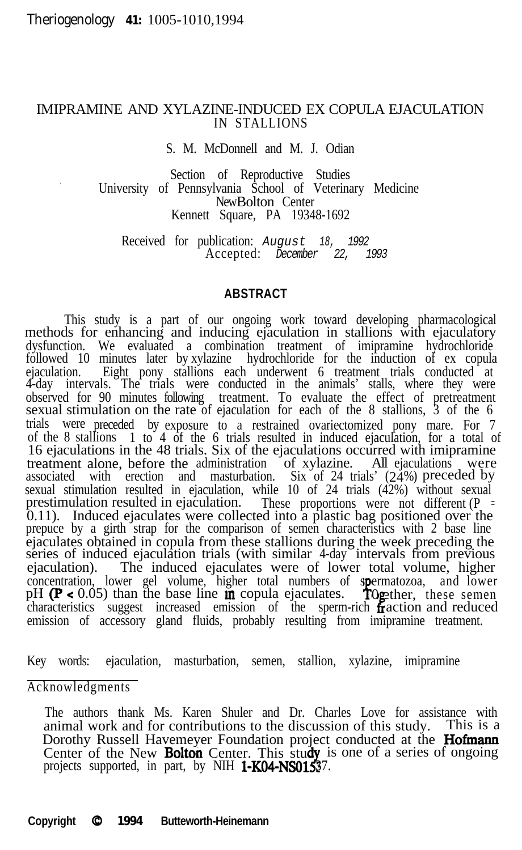## IMIPRAMINE AND XYLAZINE-INDUCED EX COPULA EJACULATION IN STALLIONS

S. M. McDonnell and M. J. Odian

Section of Reproductive Studies<br>University of Pennsylvania School of Veterinary Medicine New Bolton Center Kennett Square, PA 19348-1692

> Received for publication: *August 18, 1992* Accepted: *December 22, 1993*

### **ABSTRACT**

This study is a part of our ongoing work toward developing pharmacological methods for enhancing and inducing ejaculation in stallions with ejaculatory dysfunction. We evaluated a combination treatment of imipramine hydrochloride followed 10 minutes later by xylazine hydrochloride for the induction of ex copula ejaculation. Eight pony stallions each underwent 6 treatment trials conducted at 4-day intervals. The trials were conducted in the animals' stalls, where they were observed for 90 minutes following treatment. To evaluate the effect of pretreatment sexual stimulation on the rate of ejaculation for each of the 8 stallions, 3 of the 6 trials were preceded by exposure to a restrained ovariectomized pony mare. For 7 of the 8 stallions 1 to 4 of the 6 trials resulted in induced ejaculation, for a total c 1 to 4 of the 6 trials resulted in induced ejaculation, for a total of 16 ejaculations in the 48 trials. Six of the ejaculations occurred with imipramine treatment alone, before the administration of xylazine. All ejaculations were associated with erection and masturbation. Six of 24 trials' (24%) preceded by sexual stimulation resulted in ejaculation, while 10 of 24 trials  $(4\overline{2}\%)$  without sexual prestimulation resulted in ejaculation. These proportions were not different ( $P = 0.11$ ). Induced ejaculates were collected into a plastic bag positioned over the prepuce by a girth strap for the comparison of semen chara ejaculates obtained in copula from these stallions during the week preceding the series of induced ejaculation trials (with similar 4-day intervals from previous ejaculation). The induced ejaculates were of lower total volume, higher concentration, lower gel volume, higher total numbers of spermatozoa, and lower pH ( $\mathbf{P} < 0.05$ ) than the base line in copula ejaculates. To gether, these semen characteristics suggest increased emission of the sperm-rich Ogether, fraction and reduced emission of accessory gland fluids, probably resulting from imipramine treatment.

Key words: ejaculation, masturbation, semen, stallion, xylazine, imipramine

Acknowledgments

The authors thank Ms. Karen Shuler and Dr. Charles Love for assistance with animal work and for contributions to the discussion of this study. This is a Dorothy Russell Havemeyer Foundation project conducted at the **Hofmann** Center of the New Bolton Center. This study is one of a series of ongoing projects supported, in part, by NIH  $1-K04-NS01537$ .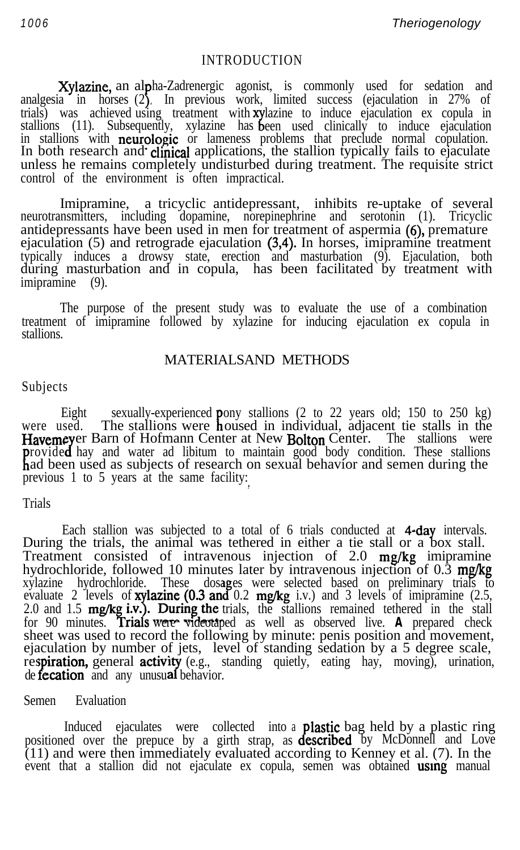*1006 Theriogenology*

#### INTRODUCTION

Xylazine, an al analgesia in horses analgesia in horses (2**)**.<br>trials) was achieved\_usir ha-Zadrenergic agonist, is commonly used for sedation and In previous work, limited success (ejaculation in 27% of trials) was achieved using treatment with **xy**lazine to induce ejaculation ex copula in stallions (11). Subsequently, xylazine has been used clinically to induce ejaculation een used clinically to induce ejaculation in stallions with neurologic or lameness problems that preclude normal copulation. In both research and clinical applications, the stallion typically fails to ejaculate unless he remains completely undisturbed during treatment. The requisite strict control of the environment is often impractical.

Imipramine, a tricyclic antidepressant, inhibits re-uptake of several neurotransmitters, including dopamine, norepinephrine and serotonin (1). Tricyclic antidepressants have been used in men for treatment of aspermia (6), premature ejaculation (5) and retrograde ejaculation (3,4). In horses, imipramine treatment typically induces a drowsy state, erection and masturbation (9). Ejaculation, both during masturbation and in copula, has been facilitated by treatment with imipramine (9).

The purpose of the present study was to evaluate the use of a combination treatment of imipramine followed by xylazine for inducing ejaculation ex copula in stallions.

## MATERIALSAND METHODS

#### Subjects

Eight sexually-experienced were used. The stallions were  $\mathbf h$ ony stallions (2 to 22 years old; 150 to 250 kg) Havemeyer Barn of Hofmann Center at New Bolton Center. The stallions were oused in individual, adjacent tie stalls in the rovided hay and water ad libitum to maintain good body condition. These stallions had been used as subjects of research on sexual behavior and semen during the previous 1 to 5 years at the same facility:

#### Trials

Each stallion was subjected to a total of 6 trials conducted at 4-day intervals. During the trials, the animal was tethered in either a tie stall or a box stall. Treatment consisted of intravenous injection of 2.0 mg/kg imipramine hydrochloride, followed 10 minutes later by intravenous injection of 0.3 mg/kg xylazine hydrochloride. These dosages were selected based on preliminary trials to evaluate 2 levels of **xylazine (0.3 and** 0.2 **mg/kg** i.v.) and 3 levels of imipramine (2.5, 2.0 and 1.5  $mg/kg$  i.v.). During the trials, the stallions remained tethered in the stall 0.2 **mg/kg** i.v.) and 3 levels of imipramine  $(2.5,$ for 90 minutes. **Trials were videotaped** as well as observed live. **A** prepared check sheet was used to record the following by minute: penis position and movement, ejaculation by number of jets, level of standing sedation by a 5 degree scale, respiration, general activity (e.g., standing quietly, eating hay, moving), urination, de **fecation** and any unusual behavior.

Semen Evaluation

Induced ejaculates were collected into a positioned over the prepuce by a girth strap, as  $d\epsilon$ lastic bag held by a plastic ring **escribed** by McDonnell and Love (11) and were then immediately evaluated according to Kenney et al. (7). In the event that a stallion did not ejaculate ex copula, semen was obtained **using** manual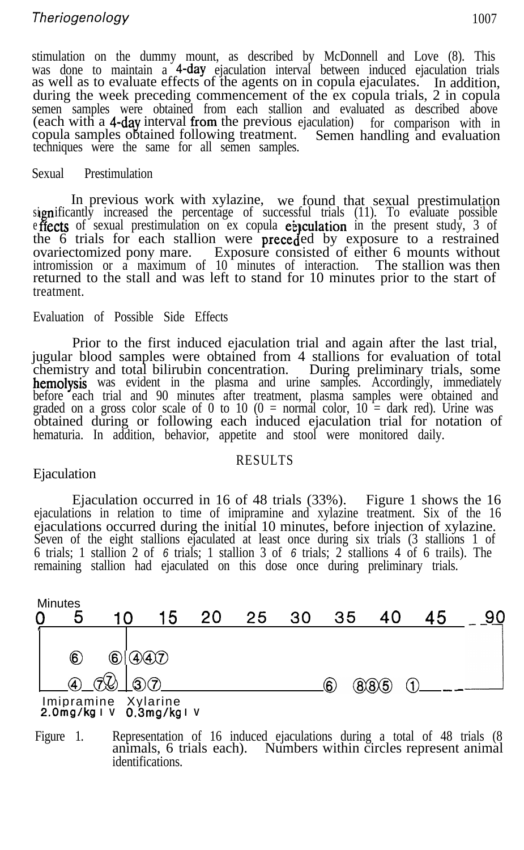# *Theriogenology* 1007

stimulation on the dummy mount, as described by McDonnell and Love (8). This was done to maintain a 4-day ejaculation interval between induced ejaculation trials as well as to evaluate effects of the agents on in copula ejaculates. In addition, during the week preceding commencement of the ex copula trials, 2 in copula semen samples were obtained from each stallion and evaluated as described above (each with a 4-day interval from the previous ejaculation) for comparison with in copula samples obtained following treatment. Semen handling and evaluation techniques were the same for all semen samples.

#### Sexual Prestimulation

significantly increased the percentage of successful trials (11). To evaluate possible In previous work with xylazine, we found that sexual prestimulation effects of sexual prestimulation on ex copula einculation in the present study, 3 of the 6 trials for each stallion were preceded by exposure to a restrained ovariectomized pony mare. Exposure consisted of either 6 mounts without intromission or a maximum of 10 minutes of interaction. The stallion was then returned to the stall and was left to stand for 10 minutes prior to the start of treatment.

#### Evaluation of Possible Side Effects

Prior to the first induced ejaculation trial and again after the last trial, jugular blood samples were obtained from 4 stallions for evaluation of total chemistry and total bilirubin concentration. During preliminary trials, some hemolysis was evident in the plasma and urine samples. Accordingly, immediately before each trial and 90 minutes after treatment, plasma samples were obtained and graded on a gross color scale of 0 to 10 (0 = normal color,  $10 = \text{dark red}$ ). Urine was obtained during or following each induced ejaculation trial for notation of hematuria. In addition, behavior, appetite and stool were monitored daily.

## RESULTS

## Ejaculation

Ejaculation occurred in 16 of 48 trials (33%). Figure 1 shows the 16 ejaculations in relation to time of imipramine and xylazine treatment. Six of the 16 ejaculations occurred during the initial 10 minutes, before injection of xylazine. Seven of the eight stallions ejaculated at least once during six trials (3 stallions 1 of 6 trials; 1 stallion 2 of *6* trials; 1 stallion 3 of *6* trials; 2 stallions 4 of 6 trails). The remaining stallion had ejaculated on this dose once during preliminary trials.



**2.0mgikg IV 0,3mg/kg IV**

Figure 1. Representation of 16 induced ejaculations during a total of 48 trials (8 animals, 6 trials each). Numbers within circles represent animal identifications.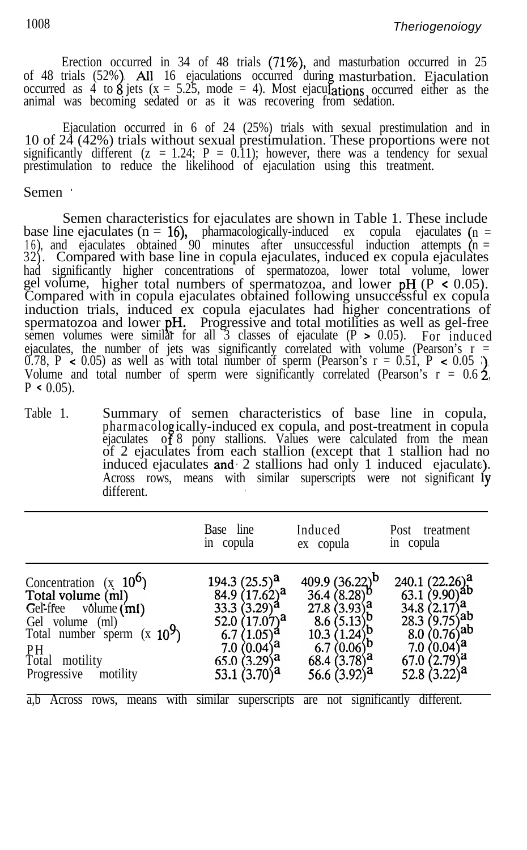Erection occurred in 34 of 48 trials (71%), and masturbation occurred in 25 of 48 trials (52%). All 16 ejaculations occurred during masturbation. Ejaculation occurred as 4 to 8 jets ( $x = 5.25$ , mode = 4). Most ejaculations occurred either as the animal was becoming sedated or as it was recovering from sedation.

Ejaculation occurred in 6 of 24 (25%) trials with sexual prestimulation and in 10 of 24 (42%) trials without sexual prestimulation. These proportions were not significantly different ( $z = 1.24$ ;  $P = 0.11$ ); however, there was a tendency for sexual prestimulation to reduce the likelihood of ejaculation using this treatment.

#### Semen \*

Semen characteristics for ejaculates are shown in Table 1. These include base line ejaculates ( $n = 16$ ), pharmacologically-induced ex copula ejaculates ( $n =$ 32). Compared with base line in copula ejaculates, induced ex copula ejaculates 16), and ejaculates obtained 90 minutes after unsuccessful induction attempts  $(n =$ had significantly higher concentrations of spermatozoa, lower total volume, lower gel volume, higher total numbers of spermatozoa, and lower  $pH$  (P < 0.05). Compared with in copula ejaculates obtained following unsuccessful ex copula induction trials, induced ex copula ejaculates had higher concentrations of spermatozoa and lower pH. Progressive and total motilities as well as gel-free semen volumes were similar for all  $\overline{3}$  classes of ejaculate (P > 0.05). For induced ejaculates, the number of jets was significantly correlated with volume (Pearson's r = 0.78, P < 0.05) as well as with total number of sperm (Pearson's  $r = 0.51$ , P < 0.05). Volume and total number of sperm were significantly correlated (Pearson's  $r = 0.62$ ,  $P \leq 0.05$ ).

Table 1. Summary of semen characteristics of base line in copula, pharmacolo ically-induced ex copula, and post-treatment in copula ejaculates of 8 pony stallions. Values were calculated from the mean of 2 ejaculates from each stallion (except that 1 stallion had no induced ejaculates and  $2$  stallions had only 1 induced ejaculate). Across rows, means with similar superscripts were not significant ly different.

|                                                                                                                                                                           | Base line                                                                                                                                               | Induced                                                                                                                                                        | Post treatment                                                                                                                                                        |
|---------------------------------------------------------------------------------------------------------------------------------------------------------------------------|---------------------------------------------------------------------------------------------------------------------------------------------------------|----------------------------------------------------------------------------------------------------------------------------------------------------------------|-----------------------------------------------------------------------------------------------------------------------------------------------------------------------|
|                                                                                                                                                                           | in copula                                                                                                                                               | ex copula                                                                                                                                                      | in copula                                                                                                                                                             |
| Concentration $(x 10^6)$<br>Total volume (ml)<br>Gel-free volume (ml)<br>Gel volume (ml)<br>Total number sperm $(x 10^9)$<br>PH<br>Total motility<br>Progressive motility | 194.3 $(25.5)^a$<br>84.9 $(17.62)^a$<br>33.3 $(3.29)^a$<br>52.0 $(17.07)^a$<br>6.7 $(1.05)^{a}$<br>$7.0(0.04)^{a}$<br>$65.0(3.29)^a$<br>53.1 $(3.70)^a$ | 409.9 $(36.22)^b$<br>36.4 $(8.28)^{b}$<br>$27.8(3.93)^{a}$<br>$8.6(5.13)b$<br>10.3 (1.24) <sup>b</sup><br>6.7 $(0.06)^b$<br>68.4 $(3.78)^a$<br>56.6 $(3.92)^a$ | $240.1 (22.26)^{a}$<br>63.1 $(9.90)^{ab}$<br>34.8 $(2.17)^{a}$<br>28.3 $(9.75)^{ab}$<br>8.0 $(0.76)^{ab}$<br>7.0 $(0.04)^{a}$<br>$67.0$ $(2.79)^a$<br>52.8 $(3.22)^a$ |

a,b Across rows, means with similar superscripts are not significantly different.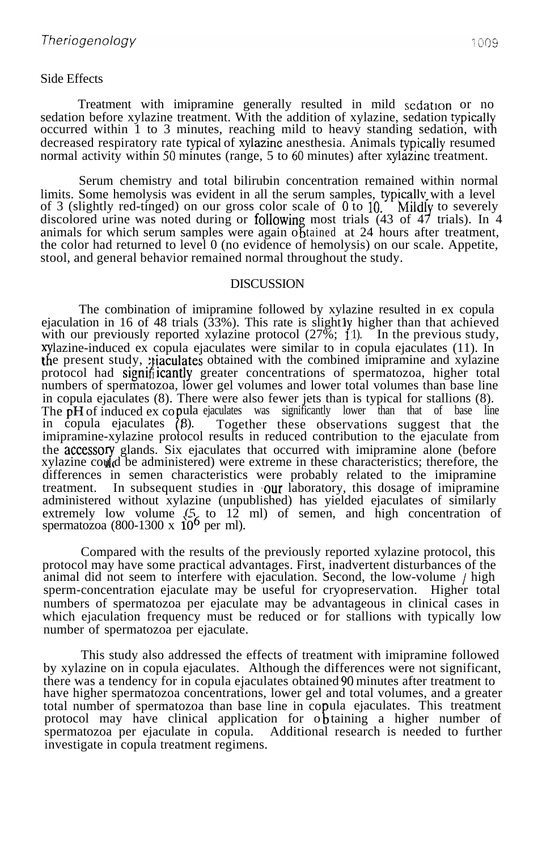### Side Effects

Treatment with imipramine generally resulted in mild sedation or no sedation before xylazine treatment. With the addition of xylazine, sedation typicalIy occurred within 1 to 3 minutes, reaching mild to heavy standing sedation, with decreased respiratory rate typical of xylazine anesthesia. Animals typically resumed normal activity within 50 minutes (range,  $5 \text{ to } 60$  minutes) after xylazine treatment.

Serum chemistry and total bilirubin concentration remained within normal limits. Some hemolysis was evident in all the serum samples, typically with a level of 3 (slightly red-tinged) on our gross color scale of  $0$  to  $10$ . Mildly to severely discolored urine was noted during or following most trials (43 of 47 trials). In 4 animals for which serum samples were again obtained at 24 hours after treatment, the color had returned to level 0 (no evidence of hemolysis) on our scale. Appetite, stool, and general behavior remained normal throughout the study.

#### DISCUSSION

The combination of imipramine followed by xylazine resulted in ex copula ejaculation in 16 of 48 trials (33%). This rate is slightly higher than that achieved with our previously reported xylazine protocol  $(27\%; 1)$ . In the previous study, the present study, *maculates* obtained with the combined imipramine and xylazine  $x$ ylazine-induced ex copula ejaculates were similar to in copula ejaculates (11). In protocol had significantly greater concentrations of spermatozoa, higher total numbers of spermatozoa, lower gel volumes and lower total volumes than base line in copula ejaculates (8). There were also fewer jets than is typical for stallions (8). The  $\hat{p}H$  of induced  $\hat{p}X$  copula ejaculates was significantly lower than that of base line in copula ejaculates (8). Together these observations suggest that the imipramine-xylazine protocol results in reduced contribution to the ejaculate from the accessory glands. Six ejaculates that occurred with imipramine alone (before xylazine could be administered) were extreme in these characteristics; therefore, the differences in semen characteristics were probably related to the imipramine treatment. In subsequent studies in  $\partial u$  aboratory, this dosage of imipramine administered without xylazine (unpublished) has yielded ejaculates of similarly extremely low volume  $(5/12 \text{ ml})$  of semen, and high concentration of spermatozoa (800-1300 x  $10^6$  per ml).

Compared with the results of the previously reported xylazine protocol, this protocol may have some practical advantages. First, inadvertent disturbances of the animal did not seem to interfere with ejaculation. Second, the low-volume / high sperm-concentration ejaculate may be useful for cryopreservation. Higher total numbers of spermatozoa per ejaculate may be advantageous in clinical cases in which ejaculation frequency must be reduced or for stallions with typically low number of spermatozoa per ejaculate.

This study also addressed the effects of treatment with imipramine followed by xylazine on in copula ejaculates. Although the differences were not significant, there was a tendency for in copula ejaculates obtained 90 minutes after treatment to have higher spermatozoa concentrations, lower gel and total volumes, and a greater total number of spermatozoa than base line in copula ejaculates. This treatment protocol may have clinical application for obtaining a higher number of spermatozoa per ejaculate in copula. Additional research is needed to further investigate in copula treatment regimens.